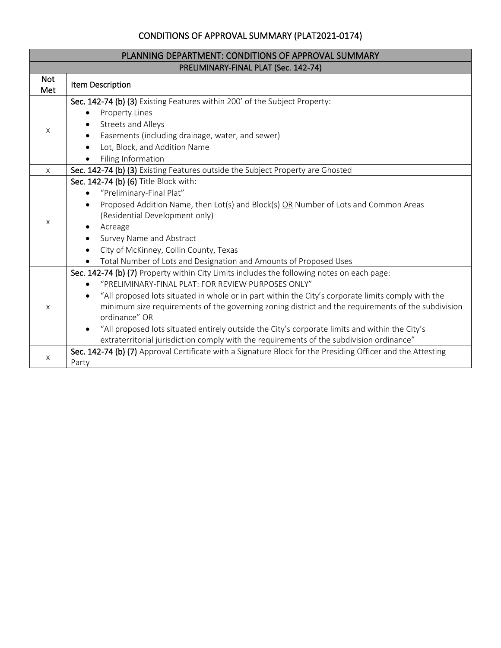## CONDITIONS OF APPROVAL SUMMARY (PLAT2021-0174)

| PLANNING DEPARTMENT: CONDITIONS OF APPROVAL SUMMARY |                                                                                                                                                                                                                                                                                                                                                                                                                                                                                                                                                                                                                                                                                                         |  |  |
|-----------------------------------------------------|---------------------------------------------------------------------------------------------------------------------------------------------------------------------------------------------------------------------------------------------------------------------------------------------------------------------------------------------------------------------------------------------------------------------------------------------------------------------------------------------------------------------------------------------------------------------------------------------------------------------------------------------------------------------------------------------------------|--|--|
| PRELIMINARY-FINAL PLAT (Sec. 142-74)                |                                                                                                                                                                                                                                                                                                                                                                                                                                                                                                                                                                                                                                                                                                         |  |  |
| <b>Not</b><br>Met                                   | Item Description                                                                                                                                                                                                                                                                                                                                                                                                                                                                                                                                                                                                                                                                                        |  |  |
| X                                                   | Sec. 142-74 (b) (3) Existing Features within 200' of the Subject Property:<br><b>Property Lines</b><br><b>Streets and Alleys</b><br>Easements (including drainage, water, and sewer)<br>Lot, Block, and Addition Name<br>Filing Information                                                                                                                                                                                                                                                                                                                                                                                                                                                             |  |  |
| $\times$                                            | Sec. 142-74 (b) (3) Existing Features outside the Subject Property are Ghosted                                                                                                                                                                                                                                                                                                                                                                                                                                                                                                                                                                                                                          |  |  |
| X                                                   | Sec. 142-74 (b) (6) Title Block with:<br>"Preliminary-Final Plat"<br>Proposed Addition Name, then Lot(s) and Block(s) OR Number of Lots and Common Areas<br>$\bullet$<br>(Residential Development only)<br>Acreage<br>Survey Name and Abstract<br>City of McKinney, Collin County, Texas<br>Total Number of Lots and Designation and Amounts of Proposed Uses                                                                                                                                                                                                                                                                                                                                           |  |  |
| X                                                   | Sec. 142-74 (b) (7) Property within City Limits includes the following notes on each page:<br>"PRELIMINARY-FINAL PLAT: FOR REVIEW PURPOSES ONLY"<br>"All proposed lots situated in whole or in part within the City's corporate limits comply with the<br>$\bullet$<br>minimum size requirements of the governing zoning district and the requirements of the subdivision<br>ordinance" OR<br>"All proposed lots situated entirely outside the City's corporate limits and within the City's<br>extraterritorial jurisdiction comply with the requirements of the subdivision ordinance"<br>Sec. 142-74 (b) (7) Approval Certificate with a Signature Block for the Presiding Officer and the Attesting |  |  |
| X                                                   | Party                                                                                                                                                                                                                                                                                                                                                                                                                                                                                                                                                                                                                                                                                                   |  |  |